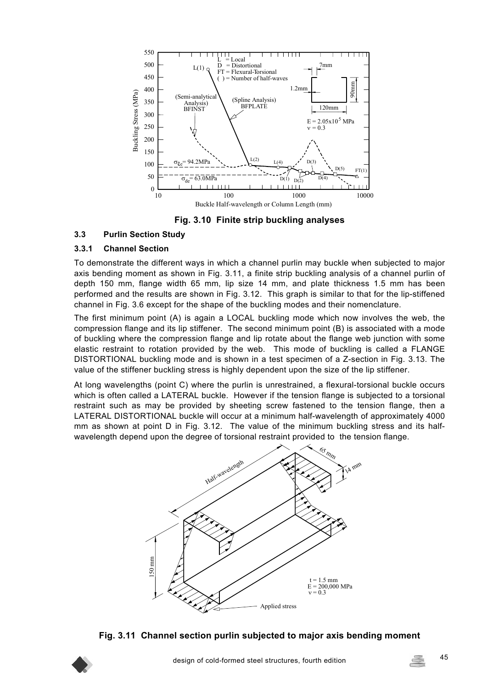

**Fig. 3.10 Finite strip buckling analyses**

### **3.3 Purlin Section Study**

#### **3.3.1 Channel Section**

To demonstrate the different ways in which a channel purlin may buckle when subjected to major axis bending moment as shown in Fig. 3.11, a finite strip buckling analysis of a channel purlin of depth 150 mm, flange width 65 mm, lip size 14 mm, and plate thickness 1.5 mm has been performed and the results are shown in Fig. 3.12. This graph is similar to that for the lip-stiffened channel in Fig. 3.6 except for the shape of the buckling modes and their nomenclature.

The first minimum point (A) is again a LOCAL buckling mode which now involves the web, the compression flange and its lip stiffener. The second minimum point (B) is associated with a mode of buckling where the compression flange and lip rotate about the flange web junction with some elastic restraint to rotation provided by the web. This mode of buckling is called a FLANGE DISTORTIONAL buckling mode and is shown in a test specimen of a Z-section in Fig. 3.13. The value of the stiffener buckling stress is highly dependent upon the size of the lip stiffener.

At long wavelengths (point C) where the purlin is unrestrained, a flexural-torsional buckle occurs which is often called a LATERAL buckle. However if the tension flange is subjected to a torsional restraint such as may be provided by sheeting screw fastened to the tension flange, then a LATERAL DISTORTIONAL buckle will occur at a minimum half-wavelength of approximately 4000 mm as shown at point D in Fig. 3.12. The value of the minimum buckling stress and its halfwavelength depend upon the degree of torsional restraint provided to the tension flange.



**Fig. 3.11 Channel section purlin subjected to major axis bending moment** 

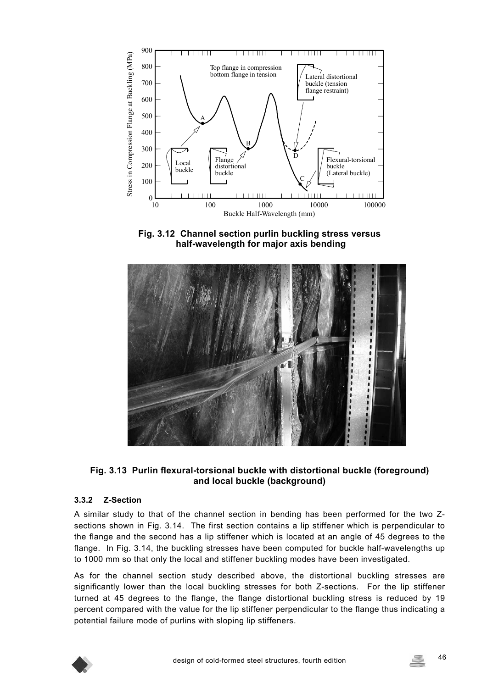

**Fig. 3.12 Channel section purlin buckling stress versus half-wavelength for major axis bending** 



#### **Fig. 3.13 Purlin flexural-torsional buckle with distortional buckle (foreground) and local buckle (background)**

#### **3.3.2 Z-Section**

A similar study to that of the channel section in bending has been performed for the two Zsections shown in Fig. 3.14. The first section contains a lip stiffener which is perpendicular to the flange and the second has a lip stiffener which is located at an angle of 45 degrees to the flange. In Fig. 3.14, the buckling stresses have been computed for buckle half-wavelengths up to 1000 mm so that only the local and stiffener buckling modes have been investigated.

As for the channel section study described above, the distortional buckling stresses are significantly lower than the local buckling stresses for both Z-sections. For the lip stiffener turned at 45 degrees to the flange, the flange distortional buckling stress is reduced by 19 percent compared with the value for the lip stiffener perpendicular to the flange thus indicating a potential failure mode of purlins with sloping lip stiffeners.

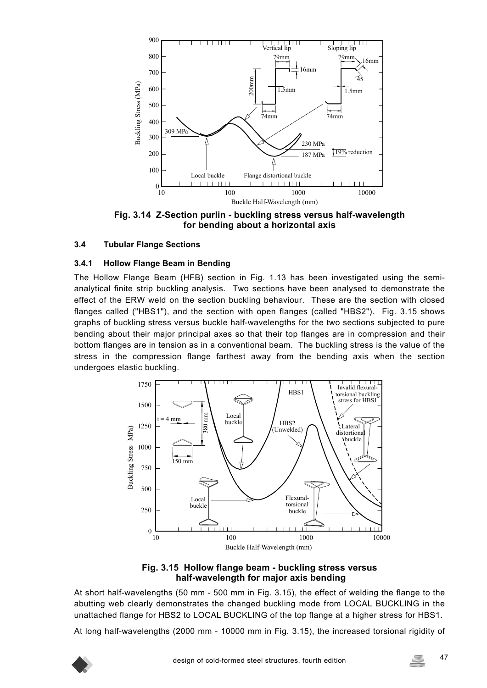

**Fig. 3.14 Z-Section purlin - buckling stress versus half-wavelength for bending about a horizontal axis** 

#### **3.4 Tubular Flange Sections**

#### **3.4.1 Hollow Flange Beam in Bending**

The Hollow Flange Beam (HFB) section in Fig. 1.13 has been investigated using the semianalytical finite strip buckling analysis. Two sections have been analysed to demonstrate the effect of the ERW weld on the section buckling behaviour. These are the section with closed flanges called ("HBS1"), and the section with open flanges (called "HBS2"). Fig. 3.15 shows graphs of buckling stress versus buckle half-wavelengths for the two sections subjected to pure bending about their major principal axes so that their top flanges are in compression and their bottom flanges are in tension as in a conventional beam. The buckling stress is the value of the stress in the compression flange farthest away from the bending axis when the section undergoes elastic buckling.



**Fig. 3.15 Hollow flange beam - buckling stress versus half-wavelength for major axis bending** 

At short half-wavelengths (50 mm - 500 mm in Fig. 3.15), the effect of welding the flange to the abutting web clearly demonstrates the changed buckling mode from LOCAL BUCKLING in the unattached flange for HBS2 to LOCAL BUCKLING of the top flange at a higher stress for HBS1.

At long half-wavelengths (2000 mm - 10000 mm in Fig. 3.15), the increased torsional rigidity of

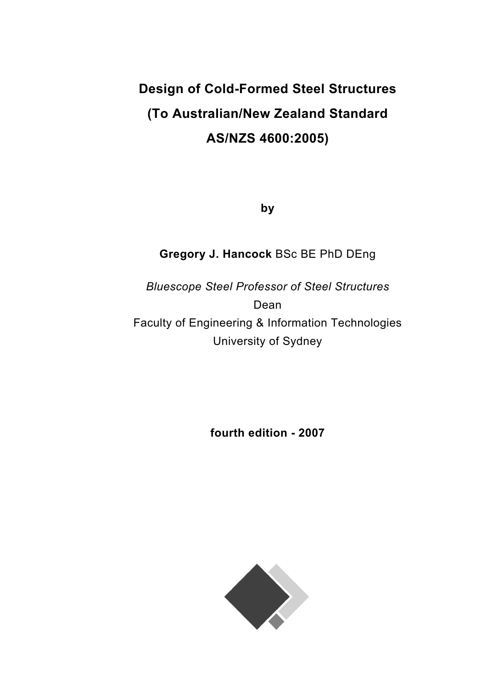# **Design of Cold-Formed Steel Structures (To Australian/New Zealand Standard AS/NZS 4600:2005)**

**by** 

# **Gregory J. Hancock** BSc BE PhD DEng

*Bluescope Steel Professor of Steel Structures*  Dean Faculty of Engineering & Information Technologies University of Sydney

**fourth edition - 2007** 

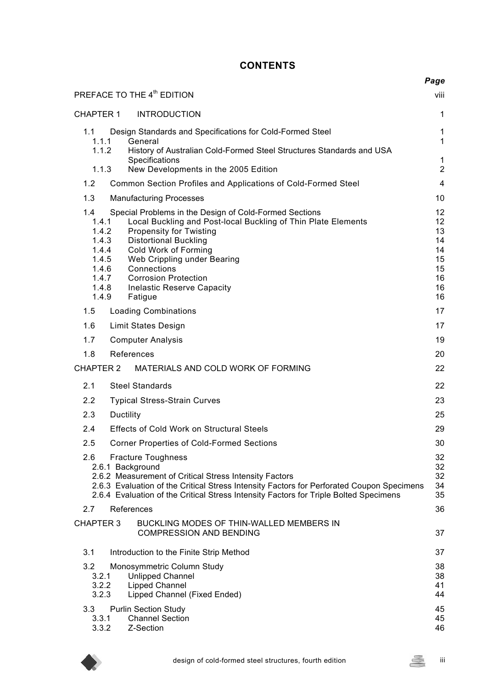## **CONTENTS**

|                                                                                                                                                                                                                                                                                                                                                                                                                                            | Page                                                     |
|--------------------------------------------------------------------------------------------------------------------------------------------------------------------------------------------------------------------------------------------------------------------------------------------------------------------------------------------------------------------------------------------------------------------------------------------|----------------------------------------------------------|
| PREFACE TO THE 4 <sup>th</sup> EDITION                                                                                                                                                                                                                                                                                                                                                                                                     | viii                                                     |
| CHAPTER 1<br><b>INTRODUCTION</b>                                                                                                                                                                                                                                                                                                                                                                                                           | $\mathbf{1}$                                             |
| Design Standards and Specifications for Cold-Formed Steel<br>1.1<br>1.1.1<br>General<br>1.1.2<br>History of Australian Cold-Formed Steel Structures Standards and USA<br>Specifications                                                                                                                                                                                                                                                    | $\mathbf 1$<br>$\mathbf{1}$<br>$\mathbf{1}$              |
| 1.1.3<br>New Developments in the 2005 Edition                                                                                                                                                                                                                                                                                                                                                                                              | $\overline{2}$                                           |
| 1.2<br>Common Section Profiles and Applications of Cold-Formed Steel                                                                                                                                                                                                                                                                                                                                                                       | 4                                                        |
| 1.3<br><b>Manufacturing Processes</b>                                                                                                                                                                                                                                                                                                                                                                                                      | 10                                                       |
| Special Problems in the Design of Cold-Formed Sections<br>1.4<br>Local Buckling and Post-local Buckling of Thin Plate Elements<br>1.4.1<br><b>Propensity for Twisting</b><br>1.4.2<br><b>Distortional Buckling</b><br>1.4.3<br>1.4.4<br>Cold Work of Forming<br>1.4.5<br>Web Crippling under Bearing<br>1.4.6<br>Connections<br>$1.4.7$<br>$1.4.8$<br><b>Corrosion Protection</b><br><b>Inelastic Reserve Capacity</b><br>1.4.9<br>Fatigue | 12<br>12<br>13<br>14<br>14<br>15<br>15<br>16<br>16<br>16 |
| 1.5<br><b>Loading Combinations</b>                                                                                                                                                                                                                                                                                                                                                                                                         | 17                                                       |
| 1.6<br>Limit States Design                                                                                                                                                                                                                                                                                                                                                                                                                 | 17                                                       |
| 1.7<br><b>Computer Analysis</b>                                                                                                                                                                                                                                                                                                                                                                                                            | 19                                                       |
| References<br>1.8                                                                                                                                                                                                                                                                                                                                                                                                                          | 20                                                       |
| <b>CHAPTER 2</b><br>MATERIALS AND COLD WORK OF FORMING                                                                                                                                                                                                                                                                                                                                                                                     | 22                                                       |
| 2.1<br><b>Steel Standards</b>                                                                                                                                                                                                                                                                                                                                                                                                              | 22                                                       |
| 2.2<br><b>Typical Stress-Strain Curves</b>                                                                                                                                                                                                                                                                                                                                                                                                 | 23                                                       |
| 2.3<br>Ductility                                                                                                                                                                                                                                                                                                                                                                                                                           | 25                                                       |
| 2.4<br><b>Effects of Cold Work on Structural Steels</b>                                                                                                                                                                                                                                                                                                                                                                                    | 29                                                       |
| 2.5<br><b>Corner Properties of Cold-Formed Sections</b>                                                                                                                                                                                                                                                                                                                                                                                    | 30                                                       |
| <b>Fracture Toughness</b><br>2.6<br>2.6.1 Background<br>2.6.2 Measurement of Critical Stress Intensity Factors<br>2.6.3 Evaluation of the Critical Stress Intensity Factors for Perforated Coupon Specimens<br>2.6.4 Evaluation of the Critical Stress Intensity Factors for Triple Bolted Specimens                                                                                                                                       | 32<br>32<br>32<br>34<br>35                               |
| 2.7<br>References                                                                                                                                                                                                                                                                                                                                                                                                                          | 36                                                       |
| <b>CHAPTER 3</b><br>BUCKLING MODES OF THIN-WALLED MEMBERS IN<br><b>COMPRESSION AND BENDING</b>                                                                                                                                                                                                                                                                                                                                             | 37                                                       |
| 3.1<br>Introduction to the Finite Strip Method                                                                                                                                                                                                                                                                                                                                                                                             | 37                                                       |
| 3.2<br>Monosymmetric Column Study<br>3.2.1<br><b>Unlipped Channel</b><br>3.2.2<br><b>Lipped Channel</b><br>3.2.3<br>Lipped Channel (Fixed Ended)                                                                                                                                                                                                                                                                                           | 38<br>38<br>41<br>44                                     |
| <b>Purlin Section Study</b><br>3.3<br><b>Channel Section</b><br>3.3.1<br>3.3.2<br>Z-Section                                                                                                                                                                                                                                                                                                                                                | 45<br>45<br>46                                           |

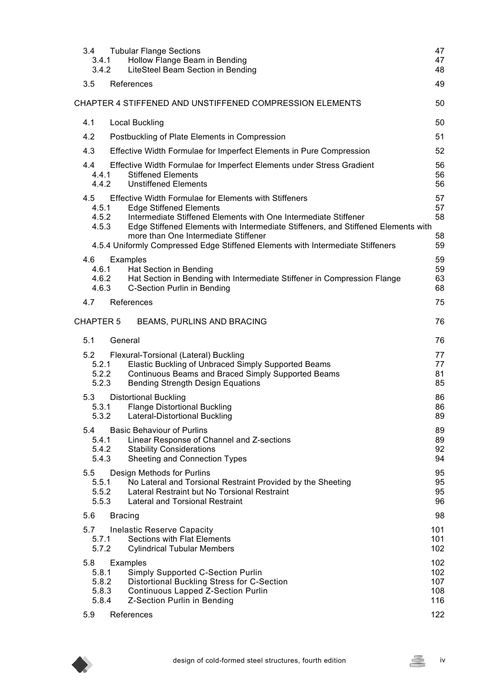| 3.4<br>3.4.1<br>3.4.2                          | <b>Tubular Flange Sections</b><br>Hollow Flange Beam in Bending<br>LiteSteel Beam Section in Bending                                                                                                                                                                                           | 47<br>47<br>48                         |
|------------------------------------------------|------------------------------------------------------------------------------------------------------------------------------------------------------------------------------------------------------------------------------------------------------------------------------------------------|----------------------------------------|
| 3.5                                            | References                                                                                                                                                                                                                                                                                     | 49                                     |
|                                                | CHAPTER 4 STIFFENED AND UNSTIFFENED COMPRESSION ELEMENTS                                                                                                                                                                                                                                       | 50                                     |
| 4.1                                            | <b>Local Buckling</b>                                                                                                                                                                                                                                                                          | 50                                     |
| 4.2                                            | Postbuckling of Plate Elements in Compression                                                                                                                                                                                                                                                  | 51                                     |
| 4.3                                            | Effective Width Formulae for Imperfect Elements in Pure Compression                                                                                                                                                                                                                            | 52                                     |
| 4.4<br>4.4.1<br>4.4.2                          | Effective Width Formulae for Imperfect Elements under Stress Gradient<br><b>Stiffened Elements</b><br><b>Unstiffened Elements</b>                                                                                                                                                              | 56<br>56<br>56                         |
| 4.5<br>4.5.1<br>4.5.2<br>4.5.3                 | <b>Effective Width Formulae for Elements with Stiffeners</b><br><b>Edge Stiffened Elements</b><br>Intermediate Stiffened Elements with One Intermediate Stiffener<br>Edge Stiffened Elements with Intermediate Stiffeners, and Stiffened Elements with<br>more than One Intermediate Stiffener | 57<br>57<br>58<br>58                   |
|                                                | 4.5.4 Uniformly Compressed Edge Stiffened Elements with Intermediate Stiffeners                                                                                                                                                                                                                | 59                                     |
| 4.6<br>4.6.1<br>4.6.2<br>4.6.3                 | Examples<br>Hat Section in Bending<br>Hat Section in Bending with Intermediate Stiffener in Compression Flange<br>C-Section Purlin in Bending                                                                                                                                                  | 59<br>59<br>63<br>68                   |
| 4.7                                            | References                                                                                                                                                                                                                                                                                     | 75                                     |
| <b>CHAPTER 5</b>                               | BEAMS, PURLINS AND BRACING                                                                                                                                                                                                                                                                     | 76                                     |
| 5.1                                            | General                                                                                                                                                                                                                                                                                        | 76                                     |
| 5.2<br>5.2.1<br>5.2.2<br>5.2.3                 | Flexural-Torsional (Lateral) Buckling<br>Elastic Buckling of Unbraced Simply Supported Beams<br>Continuous Beams and Braced Simply Supported Beams<br><b>Bending Strength Design Equations</b>                                                                                                 | 77<br>77<br>81<br>85                   |
| 5.3<br>5.3.1<br>5.3.2                          | <b>Distortional Buckling</b><br><b>Flange Distortional Buckling</b><br>Lateral-Distortional Buckling                                                                                                                                                                                           | 86<br>86<br>89                         |
| 5.4<br>5.4.1<br>5.4.2<br>5.4.3                 | <b>Basic Behaviour of Purlins</b><br>Linear Response of Channel and Z-sections<br><b>Stability Considerations</b><br>Sheeting and Connection Types                                                                                                                                             | 89<br>89<br>92<br>94                   |
| 5.5<br>5.5.1<br>5.5.2<br>5.5.3                 | Design Methods for Purlins<br>No Lateral and Torsional Restraint Provided by the Sheeting<br>Lateral Restraint but No Torsional Restraint<br>Lateral and Torsional Restraint                                                                                                                   | 95<br>95<br>95<br>96                   |
| 5.6                                            | <b>Bracing</b>                                                                                                                                                                                                                                                                                 | 98                                     |
| 5.7<br>5.7.1<br>5.7.2                          | <b>Inelastic Reserve Capacity</b><br><b>Sections with Flat Elements</b><br><b>Cylindrical Tubular Members</b>                                                                                                                                                                                  | 101<br>101<br>102                      |
| 5.8<br>5.8.1<br>5.8.2<br>5.8.3<br>5.8.4<br>5.9 | Examples<br>Simply Supported C-Section Purlin<br>Distortional Buckling Stress for C-Section<br><b>Continuous Lapped Z-Section Purlin</b><br>Z-Section Purlin in Bending<br>References                                                                                                          | 102<br>102<br>107<br>108<br>116<br>122 |
|                                                |                                                                                                                                                                                                                                                                                                |                                        |

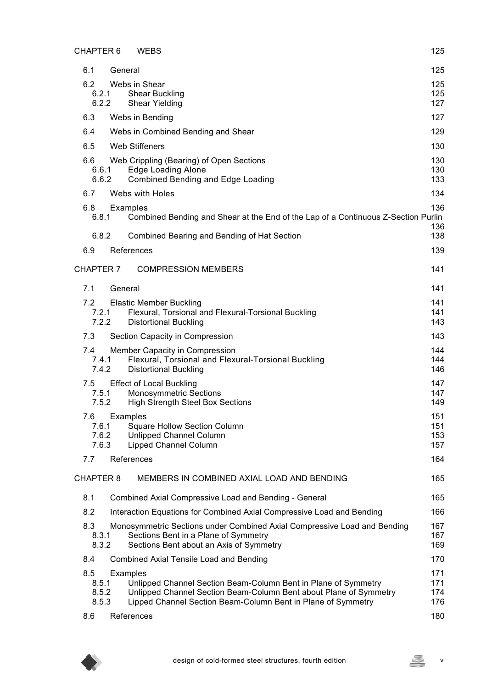|     | <b>CHAPTER 6</b> | <b>WEBS</b>                                                                                                                                                 | 125               |
|-----|------------------|-------------------------------------------------------------------------------------------------------------------------------------------------------------|-------------------|
| 6.1 | General          |                                                                                                                                                             | 125               |
| 6.2 |                  | Webs in Shear                                                                                                                                               | 125               |
|     | 6.2.1<br>6.2.2   | <b>Shear Buckling</b><br>Shear Yielding                                                                                                                     | 125<br>127        |
| 6.3 |                  | Webs in Bending                                                                                                                                             | 127               |
| 6.4 |                  | Webs in Combined Bending and Shear                                                                                                                          | 129               |
| 6.5 |                  | <b>Web Stiffeners</b>                                                                                                                                       | 130               |
| 6.6 |                  | Web Crippling (Bearing) of Open Sections                                                                                                                    | 130               |
|     | 6.6.1<br>6.6.2   | <b>Edge Loading Alone</b><br><b>Combined Bending and Edge Loading</b>                                                                                       | 130<br>133        |
| 6.7 |                  | Webs with Holes                                                                                                                                             | 134               |
| 6.8 |                  | Examples                                                                                                                                                    | 136               |
|     | 6.8.1            | Combined Bending and Shear at the End of the Lap of a Continuous Z-Section Purlin                                                                           | 136               |
|     | 6.8.2            | Combined Bearing and Bending of Hat Section                                                                                                                 | 138               |
| 6.9 |                  | References                                                                                                                                                  | 139               |
|     | <b>CHAPTER 7</b> | <b>COMPRESSION MEMBERS</b>                                                                                                                                  | 141               |
| 7.1 | General          |                                                                                                                                                             | 141               |
| 7.2 |                  | <b>Elastic Member Buckling</b>                                                                                                                              | 141               |
|     | 7.2.1<br>7.2.2   | Flexural, Torsional and Flexural-Torsional Buckling<br><b>Distortional Buckling</b>                                                                         | 141<br>143        |
| 7.3 |                  | Section Capacity in Compression                                                                                                                             | 143               |
| 7.4 |                  | Member Capacity in Compression                                                                                                                              | 144               |
|     | 7.4.1<br>7.4.2   | Flexural, Torsional and Flexural-Torsional Buckling<br><b>Distortional Buckling</b>                                                                         | 144<br>146        |
| 7.5 |                  | <b>Effect of Local Buckling</b>                                                                                                                             | 147               |
|     | 7.5.1            | <b>Monosymmetric Sections</b>                                                                                                                               | 147               |
|     | 7.5.2            | <b>High Strength Steel Box Sections</b>                                                                                                                     | 149               |
| 7.6 | 7.6.1            | Examples<br><b>Square Hollow Section Column</b>                                                                                                             | 151<br>151        |
|     | 7.6.2            | Unlipped Channel Column                                                                                                                                     | 153               |
|     | 7.6.3            | Lipped Channel Column                                                                                                                                       | 157               |
| 7.7 |                  | References                                                                                                                                                  | 164               |
|     | <b>CHAPTER 8</b> | MEMBERS IN COMBINED AXIAL LOAD AND BENDING                                                                                                                  | 165               |
| 8.1 |                  | Combined Axial Compressive Load and Bending - General                                                                                                       | 165               |
| 8.2 |                  | Interaction Equations for Combined Axial Compressive Load and Bending                                                                                       | 166               |
| 8.3 | 8.3.1<br>8.3.2   | Monosymmetric Sections under Combined Axial Compressive Load and Bending<br>Sections Bent in a Plane of Symmetry<br>Sections Bent about an Axis of Symmetry | 167<br>167<br>169 |
| 8.4 |                  | Combined Axial Tensile Load and Bending                                                                                                                     | 170               |
| 8.5 |                  | Examples                                                                                                                                                    | 171               |
|     | 8.5.1<br>8.5.2   | Unlipped Channel Section Beam-Column Bent in Plane of Symmetry<br>Unlipped Channel Section Beam-Column Bent about Plane of Symmetry                         | 171<br>174        |
|     | 8.5.3            | Lipped Channel Section Beam-Column Bent in Plane of Symmetry                                                                                                | 176               |
| 8.6 |                  | References                                                                                                                                                  | 180               |

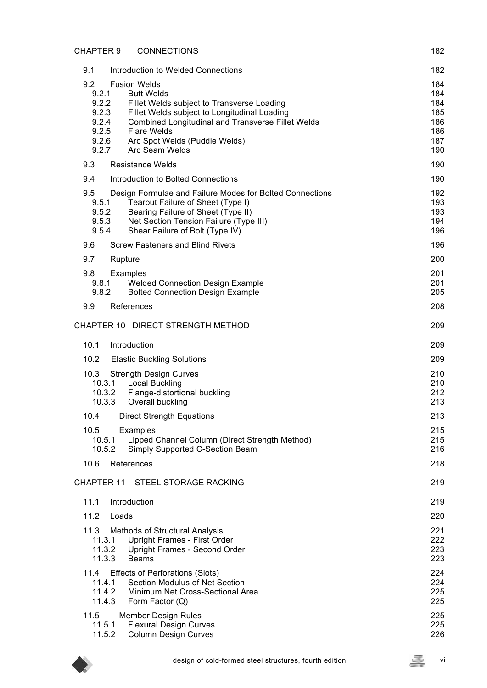| <b>CHAPTER 9</b><br><b>CONNECTIONS</b>                                                                                                                                                                                                                                                                                                  | 182                                                  |
|-----------------------------------------------------------------------------------------------------------------------------------------------------------------------------------------------------------------------------------------------------------------------------------------------------------------------------------------|------------------------------------------------------|
| 9.1<br>Introduction to Welded Connections                                                                                                                                                                                                                                                                                               | 182                                                  |
| 9.2<br><b>Fusion Welds</b><br>9.2.1<br><b>Butt Welds</b><br>9.2.2<br>Fillet Welds subject to Transverse Loading<br>9.2.3<br>Fillet Welds subject to Longitudinal Loading<br>9.2.4<br>Combined Longitudinal and Transverse Fillet Welds<br>9.2.5<br><b>Flare Welds</b><br>9.2.6 Arc Spot Welds (Puddle Welds)<br>9.2.7<br>Arc Seam Welds | 184<br>184<br>184<br>185<br>186<br>186<br>187<br>190 |
| 9.3<br><b>Resistance Welds</b>                                                                                                                                                                                                                                                                                                          | 190                                                  |
| 9.4<br>Introduction to Bolted Connections                                                                                                                                                                                                                                                                                               | 190                                                  |
| 9.5<br>Design Formulae and Failure Modes for Bolted Connections<br>Tearout Failure of Sheet (Type I)<br>9.5.1<br>9.5.2<br>Bearing Failure of Sheet (Type II)<br>Net Section Tension Failure (Type III)<br>9.5.3<br>9.5.4<br>Shear Failure of Bolt (Type IV)                                                                             | 192<br>193<br>193<br>194<br>196                      |
| 9.6<br><b>Screw Fasteners and Blind Rivets</b>                                                                                                                                                                                                                                                                                          | 196                                                  |
| 9.7<br>Rupture                                                                                                                                                                                                                                                                                                                          | 200                                                  |
| 9.8<br>Examples<br><b>Welded Connection Design Example</b><br>9.8.1<br><b>Bolted Connection Design Example</b><br>9.8.2                                                                                                                                                                                                                 | 201<br>201<br>205                                    |
| 9.9<br>References                                                                                                                                                                                                                                                                                                                       | 208                                                  |
| CHAPTER 10 DIRECT STRENGTH METHOD                                                                                                                                                                                                                                                                                                       | 209                                                  |
| 10.1<br>Introduction                                                                                                                                                                                                                                                                                                                    | 209                                                  |
| 10.2<br><b>Elastic Buckling Solutions</b>                                                                                                                                                                                                                                                                                               | 209                                                  |
| 10.3<br><b>Strength Design Curves</b><br>10.3.1<br><b>Local Buckling</b><br>10.3.2<br>Flange-distortional buckling<br>10.3.3<br>Overall buckling                                                                                                                                                                                        | 210<br>210<br>212<br>213                             |
| 10.4<br><b>Direct Strength Equations</b>                                                                                                                                                                                                                                                                                                | 213                                                  |
| 10.5<br>Examples<br>10.5.1<br>Lipped Channel Column (Direct Strength Method)<br>10.5.2<br>Simply Supported C-Section Beam                                                                                                                                                                                                               | 215<br>215<br>216                                    |
| 10.6<br>References                                                                                                                                                                                                                                                                                                                      | 218                                                  |
| <b>CHAPTER 11</b><br><b>STEEL STORAGE RACKING</b>                                                                                                                                                                                                                                                                                       | 219                                                  |
| 11.1<br>Introduction                                                                                                                                                                                                                                                                                                                    | 219                                                  |
| 11.2<br>Loads                                                                                                                                                                                                                                                                                                                           | 220                                                  |
| 11.3<br>Methods of Structural Analysis<br>11.3.1<br>Upright Frames - First Order<br>11.3.2<br>Upright Frames - Second Order<br>11.3.3<br><b>Beams</b>                                                                                                                                                                                   | 221<br>222<br>223<br>223                             |
| <b>Effects of Perforations (Slots)</b><br>11.4<br>Section Modulus of Net Section<br>11.4.1<br>Minimum Net Cross-Sectional Area<br>11.4.2<br>11.4.3<br>Form Factor (Q)                                                                                                                                                                   | 224<br>224<br>225<br>225                             |
| 11.5<br><b>Member Design Rules</b><br>11.5.1<br><b>Flexural Design Curves</b><br><b>Column Design Curves</b><br>11.5.2                                                                                                                                                                                                                  | 225<br>225<br>226                                    |